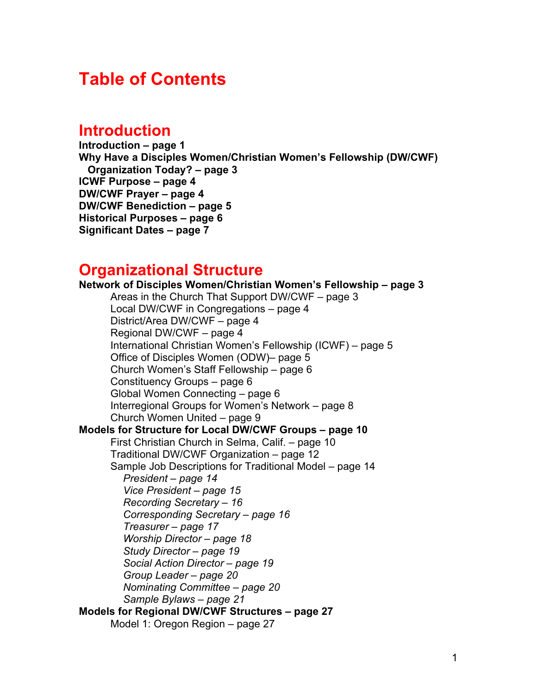## **Table of Contents**

### **Introduction**

**Introduction – page 1 Why Have a Disciples Women/Christian Women's Fellowship (DW/CWF) Organization Today? – page 3 ICWF Purpose – page 4 DW/CWF Prayer – page 4 DW/CWF Benediction – page 5 Historical Purposes – page 6 Significant Dates – page 7**

### **Organizational Structure**

**Network of Disciples Women/Christian Women's Fellowship – page 3** Areas in the Church That Support DW/CWF – page 3 Local DW/CWF in Congregations – page 4 District/Area DW/CWF – page 4 Regional DW/CWF – page 4 International Christian Women's Fellowship (ICWF) – page 5 Office of Disciples Women (ODW)– page 5 Church Women's Staff Fellowship – page 6 Constituency Groups – page 6 Global Women Connecting – page 6 Interregional Groups for Women's Network – page 8 Church Women United – page 9 **Models for Structure for Local DW/CWF Groups – page 10** First Christian Church in Selma, Calif. – page 10 Traditional DW/CWF Organization – page 12 Sample Job Descriptions for Traditional Model – page 14 *President – page 14 Vice President – page 15 Recording Secretary – 16 Corresponding Secretary – page 16 Treasurer – page 17 Worship Director – page 18 Study Director – page 19 Social Action Director – page 19 Group Leader – page 20 Nominating Committee – page 20 Sample Bylaws – page 21* **Models for Regional DW/CWF Structures – page 27** Model 1: Oregon Region – page 27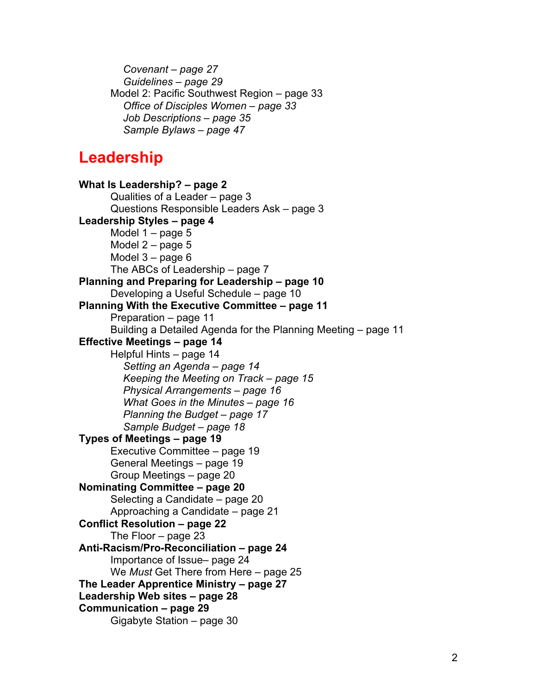*Covenant – page 27 Guidelines – page 29* Model 2: Pacific Southwest Region – page 33 *Office of Disciples Women – page 33 Job Descriptions – page 35 Sample Bylaws – page 47*

## **Leadership**

**What Is Leadership? – page 2** Qualities of a Leader – page 3 Questions Responsible Leaders Ask – page 3 **Leadership Styles – page 4** Model 1 – page 5 Model 2 – page 5 Model 3 – page 6 The ABCs of Leadership – page 7 **Planning and Preparing for Leadership – page 10** Developing a Useful Schedule – page 10 **Planning With the Executive Committee – page 11** Preparation – page 11 Building a Detailed Agenda for the Planning Meeting – page 11 **Effective Meetings – page 14** Helpful Hints – page 14 *Setting an Agenda – page 14 Keeping the Meeting on Track – page 15 Physical Arrangements – page 16 What Goes in the Minutes – page 16 Planning the Budget – page 17 Sample Budget – page 18* **Types of Meetings – page 19** Executive Committee – page 19 General Meetings – page 19 Group Meetings – page 20 **Nominating Committee – page 20** Selecting a Candidate – page 20 Approaching a Candidate – page 21 **Conflict Resolution – page 22** The Floor – page 23 **Anti-Racism/Pro-Reconciliation – page 24** Importance of Issue– page 24 We *Must* Get There from Here – page 25 **The Leader Apprentice Ministry – page 27 Leadership Web sites – page 28 Communication – page 29** Gigabyte Station – page 30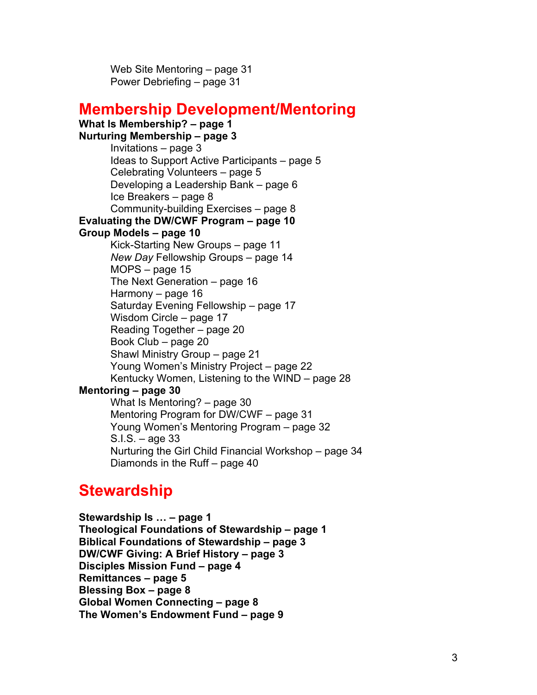Web Site Mentoring – page 31 Power Debriefing – page 31

## **Membership Development/Mentoring**

#### **What Is Membership? – page 1**

**Nurturing Membership – page 3** Invitations – page 3 Ideas to Support Active Participants – page 5 Celebrating Volunteers – page 5 Developing a Leadership Bank – page 6 Ice Breakers – page 8 Community-building Exercises – page 8

#### **Evaluating the DW/CWF Program – page 10**

#### **Group Models – page 10**

Kick-Starting New Groups – page 11 *New Day* Fellowship Groups – page 14 MOPS – page 15 The Next Generation – page 16 Harmony – page 16 Saturday Evening Fellowship – page 17 Wisdom Circle – page 17 Reading Together – page 20 Book Club – page 20 Shawl Ministry Group – page 21 Young Women's Ministry Project – page 22 Kentucky Women, Listening to the WIND – page 28

#### **Mentoring – page 30**

What Is Mentoring? – page 30 Mentoring Program for DW/CWF – page 31 Young Women's Mentoring Program – page 32 S.I.S. – age 33 Nurturing the Girl Child Financial Workshop – page 34 Diamonds in the Ruff – page 40

## **Stewardship**

**Stewardship Is … – page 1 Theological Foundations of Stewardship – page 1 Biblical Foundations of Stewardship – page 3 DW/CWF Giving: A Brief History – page 3 Disciples Mission Fund – page 4 Remittances – page 5 Blessing Box – page 8 Global Women Connecting – page 8 The Women's Endowment Fund – page 9**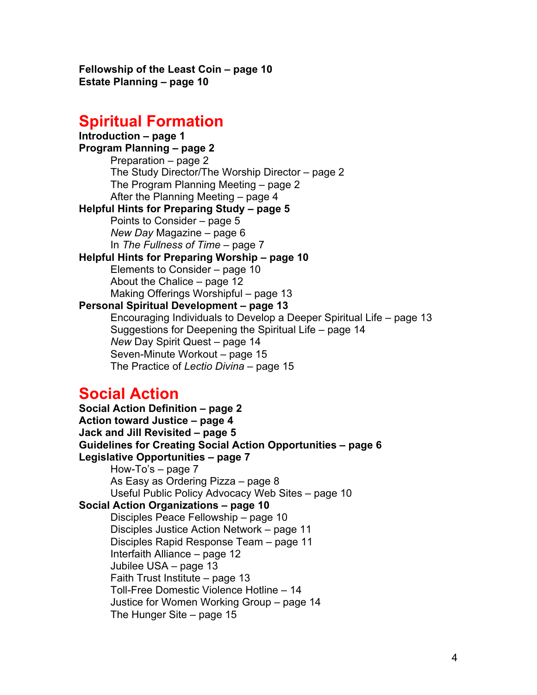**Fellowship of the Least Coin – page 10 Estate Planning – page 10**

# **Spiritual Formation**

**Introduction – page 1 Program Planning – page 2** Preparation – page 2 The Study Director/The Worship Director – page 2 The Program Planning Meeting – page 2 After the Planning Meeting – page 4 **Helpful Hints for Preparing Study – page 5** Points to Consider – page 5 *New Day* Magazine – page 6 In *The Fullness of Time* – page 7 **Helpful Hints for Preparing Worship – page 10** Elements to Consider – page 10 About the Chalice – page 12 Making Offerings Worshipful – page 13 **Personal Spiritual Development – page 13** Encouraging Individuals to Develop a Deeper Spiritual Life – page 13 Suggestions for Deepening the Spiritual Life – page 14 *New* Day Spirit Quest – page 14 Seven-Minute Workout – page 15 The Practice of *Lectio Divina* – page 15

### **Social Action**

**Social Action Definition – page 2 Action toward Justice – page 4 Jack and Jill Revisited – page 5 Guidelines for Creating Social Action Opportunities – page 6 Legislative Opportunities – page 7** How-To's – page 7 As Easy as Ordering Pizza – page 8 Useful Public Policy Advocacy Web Sites – page 10 **Social Action Organizations – page 10** Disciples Peace Fellowship – page 10 Disciples Justice Action Network – page 11 Disciples Rapid Response Team – page 11 Interfaith Alliance – page 12 Jubilee USA – page 13 Faith Trust Institute – page 13 Toll-Free Domestic Violence Hotline – 14 Justice for Women Working Group – page 14 The Hunger Site – page 15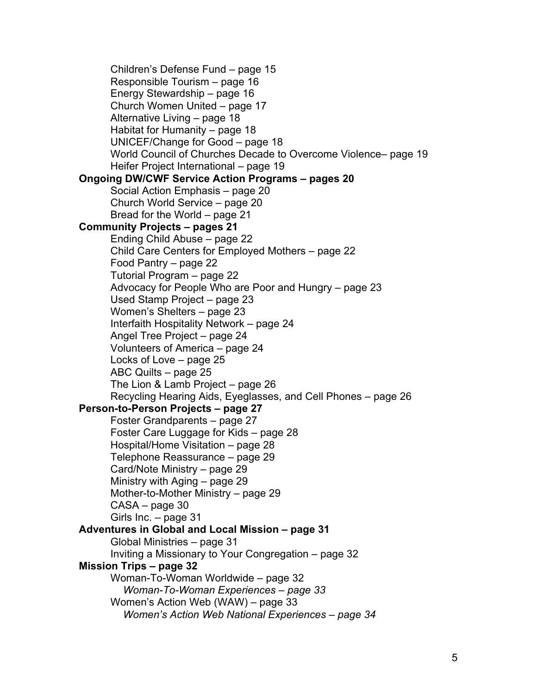Children's Defense Fund – page 15 Responsible Tourism – page 16 Energy Stewardship – page 16 Church Women United – page 17 Alternative Living – page 18 Habitat for Humanity – page 18 UNICEF/Change for Good – page 18 World Council of Churches Decade to Overcome Violence– page 19 Heifer Project International – page 19 **Ongoing DW/CWF Service Action Programs – pages 20** Social Action Emphasis – page 20 Church World Service – page 20 Bread for the World – page 21 **Community Projects – pages 21** Ending Child Abuse – page 22 Child Care Centers for Employed Mothers – page 22 Food Pantry – page 22 Tutorial Program – page 22 Advocacy for People Who are Poor and Hungry – page 23 Used Stamp Project – page 23 Women's Shelters – page 23 Interfaith Hospitality Network – page 24 Angel Tree Project – page 24 Volunteers of America – page 24 Locks of Love – page 25 ABC Quilts – page 25 The Lion & Lamb Project – page 26 Recycling Hearing Aids, Eyeglasses, and Cell Phones – page 26 **Person-to-Person Projects – page 27** Foster Grandparents – page 27 Foster Care Luggage for Kids – page 28 Hospital/Home Visitation – page 28 Telephone Reassurance – page 29 Card/Note Ministry – page 29 Ministry with Aging – page 29 Mother-to-Mother Ministry – page 29 CASA – page 30 Girls Inc. – page 31 **Adventures in Global and Local Mission – page 31** Global Ministries – page 31 Inviting a Missionary to Your Congregation – page 32 **Mission Trips – page 32** Woman-To-Woman Worldwide – page 32 *Woman-To-Woman Experiences – page 33* Women's Action Web (WAW) – page 33 *Women's Action Web National Experiences – page 34*